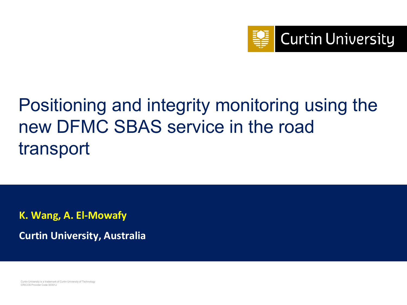

# Positioning and integrity monitoring using the new DFMC SBAS service in the road transport

**K. Wang, A. El-Mowafy**

**Curtin University, Australia**

Curtin University is a trademark of Curtin University of Technology CRICOS Provider Code 00301J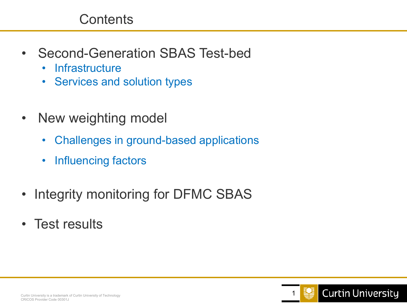### **Contents**

- Second-Generation SBAS Test-bed
	- Infrastructure
	- Services and solution types
- New weighting model
	- Challenges in ground-based applications
	- Influencing factors
- Integrity monitoring for DFMC SBAS
- Test results

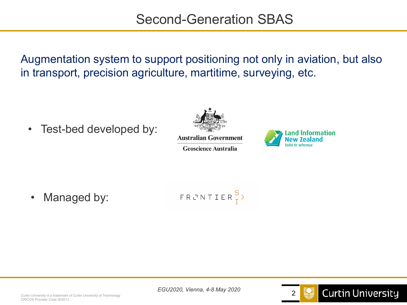Augmentation system to support positioning not only in aviation, but also in transport, precision agriculture, martitime, surveying, etc.

• Test-bed developed by:



**Australian Government** 

**Geoscience Australia** 



• Managed by:

$$
\vdash R \ \ \textcolor{red}{\mathcal{C}} \ \ \textcolor{blue}{\mathcal{N}} \ \ \textcolor{red}{\mathcal{I}} \ \ \textcolor{red}{\mathcal{E}} \ \ \textcolor{red}{R} \ \ \textcolor{blue}{\overset{\mathcal{S}}{\mathcal{I}}} \ \ \textcolor{blue}{\mathcal{V}}
$$

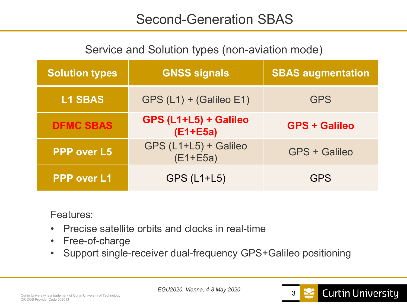# Second-Generation SBAS

#### Service and Solution types (non-aviation mode)

| <b>Solution types</b> | <b>GNSS signals</b>                   | <b>SBAS augmentation</b> |
|-----------------------|---------------------------------------|--------------------------|
| <b>L1 SBAS</b>        | $GPS (L1) + (Galileo E1)$             | <b>GPS</b>               |
| <b>DFMC SBAS</b>      | GPS (L1+L5) + Galileo<br>$(E1 + E5a)$ | <b>GPS + Galileo</b>     |
| <b>PPP over L5</b>    | GPS (L1+L5) + Galileo<br>$(E1 + E5a)$ | <b>GPS + Galileo</b>     |
| <b>PPP over L1</b>    | <b>GPS (L1+L5)</b>                    | <b>GPS</b>               |

Features:

- Precise satellite orbits and clocks in real-time
- Free-of-charge
- Support single-receiver dual-frequency GPS+Galileo positioning

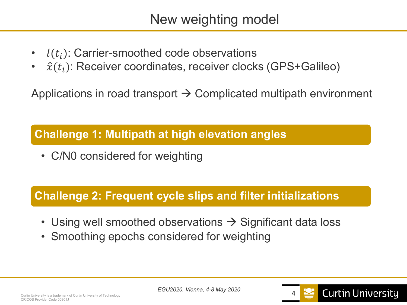# New weighting model

- $l(t_i)$ : Carrier-smoothed code observations
- $\hat{x}(t_i)$ : Receiver coordinates, receiver clocks (GPS+Galileo)

Applications in road transport  $\rightarrow$  Complicated multipath environment

#### **Challenge 1: Multipath at high elevation angles**

• C/N0 considered for weighting

#### **Challenge 2: Frequent cycle slips and filter initializations**

- Using well smoothed observations  $\rightarrow$  Significant data loss
- Smoothing epochs considered for weighting



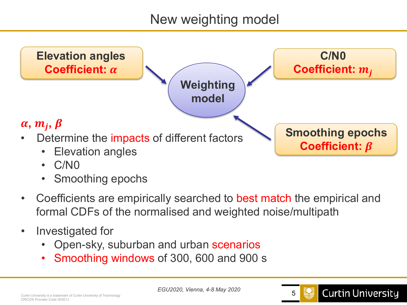# New weighting model



- C/N0
- Smoothing epochs
- Coefficients are empirically searched to best match the empirical and formal CDFs of the normalised and weighted noise/multipath
- Investigated for
	- Open-sky, suburban and urban scenarios
	- Smoothing windows of 300, 600 and 900 s

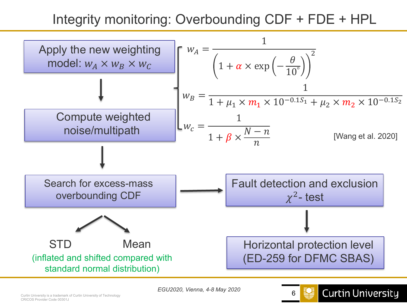# Integrity monitoring: Overbounding CDF + FDE + HPL



**Curtin University**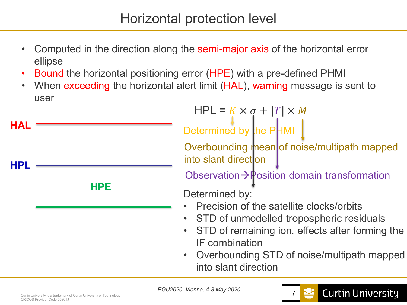- Computed in the direction along the semi-major axis of the horizontal error ellipse
- Bound the horizontal positioning error (HPE) with a pre-defined PHMI
- When exceeding the horizontal alert limit (HAL), warning message is sent to user

**HPL**

**HAL**

**HPE**

 $HPL = K \times \sigma + |T| \times M$ Determined by the PHMI

Overbounding mean of noise/multipath mapped into slant direction

Observation $\rightarrow \mathbb{P}$ osition domain transformation

Determined by:

- Precision of the satellite clocks/orbits
- STD of unmodelled tropospheric residuals
- STD of remaining ion. effects after forming the IF combination
- Overbounding STD of noise/multipath mapped into slant direction

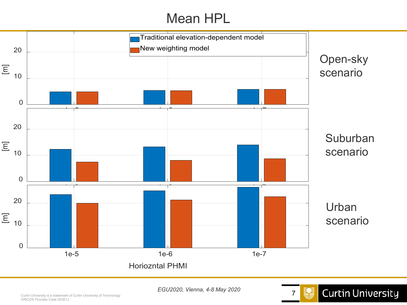# Mean HPL





*EGU2020, Vienna, 4-8 May 2020*